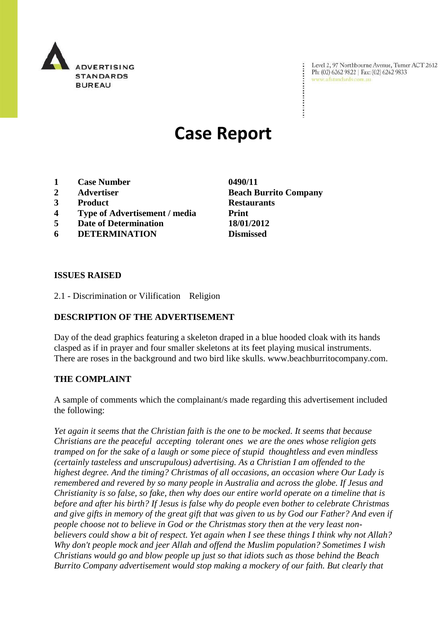

Level 2, 97 Northbourne Avenue, Turner ACT 2612 Ph: (02) 6262 9822 | Fax: (02) 6262 9833 www.adstandards.com.au

 $\ddot{\cdot}$ 

# **Case Report**

- **1 Case Number 0490/11**
- **2 Advertiser Beach Burrito Company**
- **3 Product Restaurants**
- **4 Type of Advertisement / media Print**
- **5 Date of Determination 18/01/2012**
- **6 DETERMINATION Dismissed**

### **ISSUES RAISED**

2.1 - Discrimination or Vilification Religion

## **DESCRIPTION OF THE ADVERTISEMENT**

Day of the dead graphics featuring a skeleton draped in a blue hooded cloak with its hands clasped as if in prayer and four smaller skeletons at its feet playing musical instruments. There are roses in the background and two bird like skulls. www.beachburritocompany.com.

#### **THE COMPLAINT**

A sample of comments which the complainant/s made regarding this advertisement included the following:

*Yet again it seems that the Christian faith is the one to be mocked. It seems that because Christians are the peaceful accepting tolerant ones we are the ones whose religion gets tramped on for the sake of a laugh or some piece of stupid thoughtless and even mindless (certainly tasteless and unscrupulous) advertising. As a Christian I am offended to the highest degree. And the timing? Christmas of all occasions, an occasion where Our Lady is remembered and revered by so many people in Australia and across the globe. If Jesus and Christianity is so false, so fake, then why does our entire world operate on a timeline that is before and after his birth? If Jesus is false why do people even bother to celebrate Christmas and give gifts in memory of the great gift that was given to us by God our Father? And even if people choose not to believe in God or the Christmas story then at the very least nonbelievers could show a bit of respect. Yet again when I see these things I think why not Allah? Why don't people mock and jeer Allah and offend the Muslim population? Sometimes I wish Christians would go and blow people up just so that idiots such as those behind the Beach Burrito Company advertisement would stop making a mockery of our faith. But clearly that*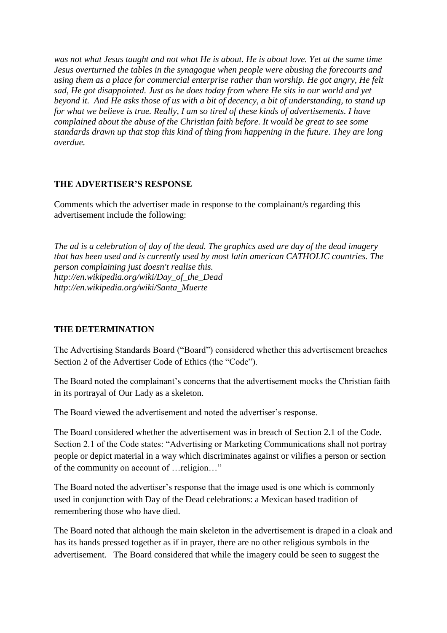*was not what Jesus taught and not what He is about. He is about love. Yet at the same time Jesus overturned the tables in the synagogue when people were abusing the forecourts and using them as a place for commercial enterprise rather than worship. He got angry, He felt sad, He got disappointed. Just as he does today from where He sits in our world and yet beyond it. And He asks those of us with a bit of decency, a bit of understanding, to stand up for what we believe is true. Really, I am so tired of these kinds of advertisements. I have complained about the abuse of the Christian faith before. It would be great to see some standards drawn up that stop this kind of thing from happening in the future. They are long overdue.*

# **THE ADVERTISER'S RESPONSE**

Comments which the advertiser made in response to the complainant/s regarding this advertisement include the following:

*The ad is a celebration of day of the dead. The graphics used are day of the dead imagery that has been used and is currently used by most latin american CATHOLIC countries. The person complaining just doesn't realise this. http://en.wikipedia.org/wiki/Day\_of\_the\_Dead http://en.wikipedia.org/wiki/Santa\_Muerte*

# **THE DETERMINATION**

The Advertising Standards Board ("Board") considered whether this advertisement breaches Section 2 of the Advertiser Code of Ethics (the "Code").

The Board noted the complainant's concerns that the advertisement mocks the Christian faith in its portrayal of Our Lady as a skeleton.

The Board viewed the advertisement and noted the advertiser's response.

The Board considered whether the advertisement was in breach of Section 2.1 of the Code. Section 2.1 of the Code states: "Advertising or Marketing Communications shall not portray people or depict material in a way which discriminates against or vilifies a person or section of the community on account of …religion…"

The Board noted the advertiser's response that the image used is one which is commonly used in conjunction with Day of the Dead celebrations: a Mexican based tradition of remembering those who have died.

The Board noted that although the main skeleton in the advertisement is draped in a cloak and has its hands pressed together as if in prayer, there are no other religious symbols in the advertisement. The Board considered that while the imagery could be seen to suggest the